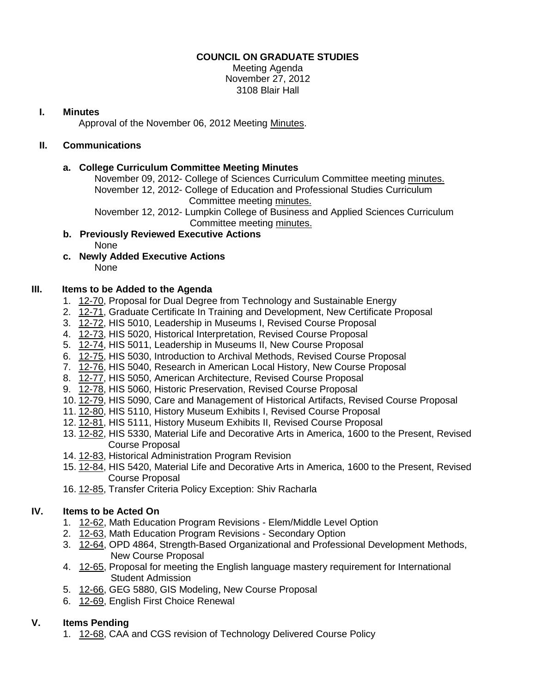# **COUNCIL ON GRADUATE STUDIES**

Meeting Agenda November 27, 2012 3108 Blair Hall

### **I. Minutes**

Approval of the November 06, 2012 Meeting [Minutes.](http://castle.eiu.edu/eiucgs/currentminutes/Minutes11-06-12.pdf)

# **II. Communications**

### **a. College Curriculum Committee Meeting Minutes**

November 09, 2012- College of Sciences Curriculum Committee meeting [minutes.](http://castle.eiu.edu/~eiucgs/currentagendaitems/COSMin11-09-12.pdf) November 12, 2012- College of Education and Professional Studies Curriculum Committee meeting [minutes.](http://castle.eiu.edu/~eiucgs/currentagendaitems/CEPSMin11-12-12.pdf)

November 12, 2012- Lumpkin College of Business and Applied Sciences Curriculum Committee meeting [minutes.](http://castle.eiu.edu/~eiucgs/currentagendaitems/LCBASMin11-12-12.pdf)

- **b. Previously Reviewed Executive Actions** None
- **c. Newly Added Executive Actions** None

## **III. Items to be Added to the Agenda**

- 1. [12-70,](http://castle.eiu.edu/~eiucgs/currentagendaitems/agenda12-70.pdf) Proposal for Dual Degree from Technology and Sustainable Energy
- 2. [12-71,](http://castle.eiu.edu/~eiucgs/currentagendaitems/agenda12-71.pdf) Graduate Certificate In Training and Development, New Certificate Proposal
- 3. [12-72,](http://castle.eiu.edu/~eiucgs/currentagendaitems/agenda12-72.pdf) HIS 5010, Leadership in Museums I, Revised Course Proposal
- 4. [12-73,](http://castle.eiu.edu/~eiucgs/currentagendaitems/agenda12-73.pdf) HIS 5020, Historical Interpretation, Revised Course Proposal
- 5. [12-74,](http://castle.eiu.edu/~eiucgs/currentagendaitems/agenda12-74.pdf) HIS 5011, Leadership in Museums II, New Course Proposal
- 6. [12-75,](http://castle.eiu.edu/~eiucgs/currentagendaitems/agenda12-75.pdf) HIS 5030, Introduction to Archival Methods, Revised Course Proposal
- 7. [12-76,](http://castle.eiu.edu/~eiucgs/currentagendaitems/agenda12-76.pdf) HIS 5040, Research in American Local History, New Course Proposal
- 8. [12-77,](http://castle.eiu.edu/~eiucgs/currentagendaitems/agenda12-77.pdf) HIS 5050, American Architecture, Revised Course Proposal
- 9. [12-78,](http://castle.eiu.edu/~eiucgs/currentagendaitems/agenda12-78.pdf) HIS 5060, Historic Preservation, Revised Course Proposal
- 10. [12-79,](http://castle.eiu.edu/~eiucgs/currentagendaitems/agenda12-79.pdf) HIS 5090, Care and Management of Historical Artifacts, Revised Course Proposal
- 11. [12-80,](http://castle.eiu.edu/~eiucgs/currentagendaitems/agenda12-80.pdf) HIS 5110, History Museum Exhibits I, Revised Course Proposal
- 12. [12-81,](http://castle.eiu.edu/~eiucgs/currentagendaitems/agenda12-81.pdf) HIS 5111, History Museum Exhibits II, Revised Course Proposal
- 13. [12-82,](http://castle.eiu.edu/~eiucgs/currentagendaitems/agenda12-82.pdf) HIS 5330, Material Life and Decorative Arts in America, 1600 to the Present, Revised Course Proposal
- 14. [12-83,](http://castle.eiu.edu/~eiucgs/currentagendaitems/agenda12-83.pdf) Historical Administration Program Revision
- 15. [12-84,](http://castle.eiu.edu/~eiucgs/currentagendaitems/agenda12-84.pdf) HIS 5420, Material Life and Decorative Arts in America, 1600 to the Present, Revised Course Proposal
- 16. [12-85,](http://castle.eiu.edu/~eiucgs/currentagendaitems/agenda12-85.pdf) Transfer Criteria Policy Exception: Shiv Racharla

# **IV. Items to be Acted On**

- 1. [12-62,](http://castle.eiu.edu/~eiucgs/currentagendaitems/agenda12-62.pdf) Math Education Program Revisions Elem/Middle Level Option
- 2. [12-63,](http://castle.eiu.edu/~eiucgs/currentagendaitems/agenda12-63.pdf) Math Education Program Revisions Secondary Option
- 3. [12-64,](http://castle.eiu.edu/~eiucgs/currentagendaitems/agenda12-64.pdf) OPD 4864, Strength-Based Organizational and Professional Development Methods, New Course Proposal
- 4. [12-65,](http://castle.eiu.edu/~eiucgs/currentagendaitems/agenda12-65.pdf) Proposal for meeting the English language mastery requirement for International Student Admission
- 5. [12-66,](http://castle.eiu.edu/~eiucgs/currentagendaitems/agenda12-66.pdf) GEG 5880, GIS Modeling, New Course Proposal
- 6. [12-69,](http://castle.eiu.edu/~eiucgs/currentagendaitems/agenda12-69.pdf) English First Choice Renewal

# **V. Items Pending**

1. [12-68,](http://castle.eiu.edu/~eiucgs/currentagendaitems/agenda12-68.pdf) CAA and CGS revision of Technology Delivered Course Policy